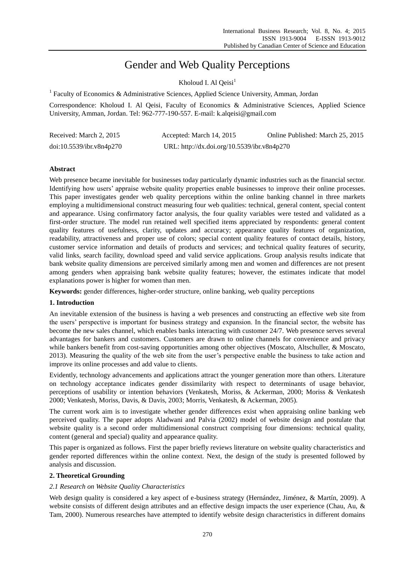# Gender and Web Quality Perceptions

Kholoud I. Al  $\mathrm{Oeisi}^1$ 

<sup>1</sup> Faculty of Economics & Administrative Sciences, Applied Science University, Amman, Jordan

Correspondence: Kholoud I. Al Qeisi, Faculty of Economics & Administrative Sciences, Applied Science University, Amman, Jordan. Tel: 962-777-190-557. E-mail: k.alqeisi@gmail.com

| Received: March 2, 2015  | Accepted: March 14, 2015                    | Online Published: March 25, 2015 |
|--------------------------|---------------------------------------------|----------------------------------|
| doi:10.5539/ibr.v8n4p270 | URL: http://dx.doi.org/10.5539/ibr.v8n4p270 |                                  |

# **Abstract**

Web presence became inevitable for businesses today particularly dynamic industries such as the financial sector. Identifying how users' appraise website quality properties enable businesses to improve their online processes. This paper investigates gender web quality perceptions within the online banking channel in three markets employing a multidimensional construct measuring four web qualities: technical, general content, special content and appearance. Using confirmatory factor analysis, the four quality variables were tested and validated as a first-order structure. The model run retained well specified items appreciated by respondents: general content quality features of usefulness, clarity, updates and accuracy; appearance quality features of organization, readability, attractiveness and proper use of colors; special content quality features of contact details, history, customer service information and details of products and services; and technical quality features of security, valid links, search facility, download speed and valid service applications. Group analysis results indicate that bank website quality dimensions are perceived similarly among men and women and differences are not present among genders when appraising bank website quality features; however, the estimates indicate that model explanations power is higher for women than men.

**Keywords:** gender differences, higher-order structure, online banking, web quality perceptions

## **1. Introduction**

An inevitable extension of the business is having a web presences and constructing an effective web site from the users' perspective is important for business strategy and expansion. In the financial sector, the website has become the new sales channel, which enables banks interacting with customer 24/7. Web presence serves several advantages for bankers and customers. Customers are drawn to online channels for convenience and privacy while bankers benefit from cost-saving opportunities among other objectives (Moscato, Altschuller, & Moscato, 2013). Measuring the quality of the web site from the user's perspective enable the business to take action and improve its online processes and add value to clients.

Evidently, technology advancements and applications attract the younger generation more than others. Literature on technology acceptance indicates gender dissimilarity with respect to determinants of usage behavior, perceptions of usability or intention behaviors (Venkatesh, Moriss, & Ackerman, 2000; Moriss & Venkatesh 2000; Venkatesh, Moriss, Davis, & Davis, 2003; Morris, Venkatesh, & Ackerman, 2005).

The current work aim is to investigate whether gender differences exist when appraising online banking web perceived quality. The paper adopts Aladwani and Palvia (2002) model of website design and postulate that website quality is a second order multidimensional construct comprising four dimensions: technical quality, content (general and special) quality and appearance quality.

This paper is organized as follows. First the paper briefly reviews literature on website quality characteristics and gender reported differences within the online context. Next, the design of the study is presented followed by analysis and discussion.

## **2. Theoretical Grounding**

## *2.1 Research on Website Quality Characteristics*

Web design quality is considered a key aspect of e-business strategy (Hern ández, Jim ánez, & Mart ín, 2009). A website consists of different design attributes and an effective design impacts the user experience (Chau, Au, & Tam, 2000). Numerous researches have attempted to identify website design characteristics in different domains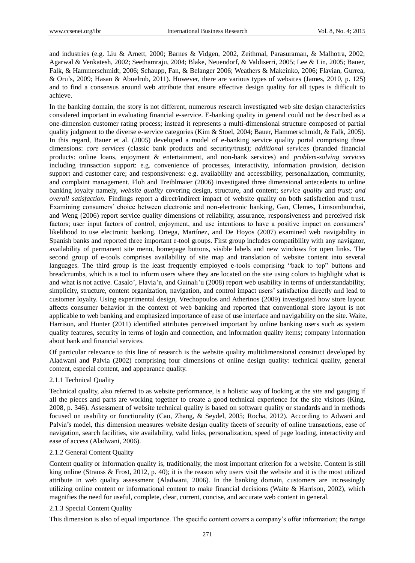and industries (e.g. Liu & Arnett, 2000; Barnes & Vidgen, 2002, Zeithmal, Parasuraman, & Malhotra, 2002; Agarwal & Venkatesh, 2002; Seethamraju, 2004; Blake, Neuendorf, & Valdiserri, 2005; Lee & Lin, 2005; Bauer, Falk, & Hammerschmidt, 2006; Schaupp, Fan, & Belanger 2006; Weathers & Makeinko, 2006; Flavian, Gurrea, & Oru's, 2009; Hasan & Abuelrub, 2011). However, there are various types of websites (James, 2010, p. 125) and to find a consensus around web attribute that ensure effective design quality for all types is difficult to achieve.

In the banking domain, the story is not different, numerous research investigated web site design characteristics considered important in evaluating financial e-service. E-banking quality in general could not be described as a one-dimension customer rating process; instead it represents a multi-dimensional structure composed of partial quality judgment to the diverse e-service categories (Kim & Stoel, 2004; Bauer, Hammerschmidt, & Falk, 2005). In this regard, Bauer et al. (2005) developed a model of e-banking service quality portal comprising three dimensions: *core services* (classic bank products and security/trust); *additional services* (branded financial products: online loans, enjoyment & entertainment, and non-bank services) and *problem-solving services* including transaction support: e.g. convenience of processes, interactivity, information provision, decision support and customer care; and responsiveness: e.g. availability and accessibility, personalization, community, and complaint management. Floh and Treiblmaier (2006) investigated three dimensional antecedents to online banking loyalty namely, *website quality* covering design, structure, and content; *service quality* and *trust; and overall satisfaction.* Findings report a direct/indirect impact of website quality on both satisfaction and trust. Examining consumers' choice between electronic and non-electronic banking, Gan, Clemes, Limsombunchai, and Weng (2006) report service quality dimensions of reliability, assurance, responsiveness and perceived risk factors; user input factors of control, enjoyment, and use intentions to have a positive impact on consumers' likelihood to use electronic banking. Ortega, Mart nez, and De Hoyos (2007) examined web navigability in Spanish banks and reported three important e-tool groups. First group includes compatibility with any navigator, availability of permanent site menu, homepage buttons, visible labels and new windows for open links. The second group of e-tools comprises availability of site map and translation of website content into several languages. The third group is the least frequently employed e-tools comprising "back to top" buttons and breadcrumbs, which is a tool to inform users where they are located on the site using colors to highlight what is and what is not active. Casalo', Flavia'n, and Guinalı'u (2008) report web usability in terms of understandability, simplicity, structure, content organization, navigation, and control impact users' satisfaction directly and lead to customer loyalty. Using experimental design, Vrechopoulos and Atherinos (2009) investigated how store layout affects consumer behavior in the context of web banking and reported that conventional store layout is not applicable to web banking and emphasized importance of ease of use interface and navigability on the site. Waite, Harrison, and Hunter (2011) identified attributes perceived important by online banking users such as system quality features, security in terms of login and connection, and information quality items; company information about bank and financial services.

Of particular relevance to this line of research is the website quality multidimensional construct developed by Aladwani and Palvia (2002) comprising four dimensions of online design quality: technical quality, general content, especial content, and appearance quality.

## 2.1.1 Technical Quality

Technical quality, also referred to as website performance, is a holistic way of looking at the *site* and gauging if all the pieces and parts are working together to create a good technical experience for the site visitors (King, 2008, p. 346). Assessment of website technical quality is based on software quality or standards and in methods focused on usability or functionality (Cao, Zhang, & Seydel, 2005; Rocha, 2012). According to Adwani and Palvia's model, this dimension measures website design quality facets of security of online transactions, ease of navigation, search facilities, site availability, valid links, personalization, speed of page loading, interactivity and ease of access (Aladwani, 2006).

## 2.1.2 General Content Quality

Content quality or information quality is, traditionally, the most important criterion for a website. Content is still king online (Strauss & Frost, 2012, p. 40); it is the reason why users visit the website and it is the most utilized attribute in web quality assessment (Aladwani, 2006). In the banking domain, customers are increasingly utilizing online content or informational content to make financial decisions (Waite & Harrison, 2002), which magnifies the need for useful, complete, clear, current, concise, and accurate web content in general.

## 2.1.3 Special Content Quality

This dimension is also of equal importance. The specific content covers a company's offer information; the range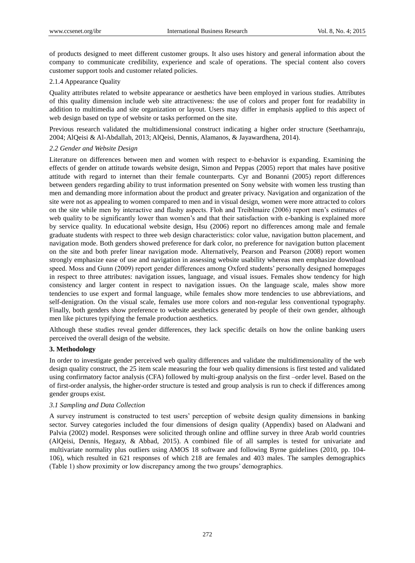of products designed to meet different customer groups. It also uses history and general information about the company to communicate credibility, experience and scale of operations. The special content also covers customer support tools and customer related policies.

# 2.1.4 Appearance Quality

Quality attributes related to website appearance or aesthetics have been employed in various studies. Attributes of this quality dimension include web site attractiveness: the use of colors and proper font for readability in addition to multimedia and site organization or layout. Users may differ in emphasis applied to this aspect of web design based on type of website or tasks performed on the site.

Previous research validated the multidimensional construct indicating a higher order structure (Seethamraju, 2004; AlQeisi & Al-Abdallah, 2013; AlQeisi, Dennis, Alamanos, & Jayawardhena, 2014).

# *2.2 Gender and Website Design*

Literature on differences between men and women with respect to e-behavior is expanding. Examining the effects of gender on attitude towards website design, Simon and Peppas (2005) report that males have positive attitude with regard to internet than their female counterparts. Cyr and Bonanni (2005) report differences between genders regarding ability to trust information presented on Sony website with women less trusting than men and demanding more information about the product and greater privacy. Navigation and organization of the site were not as appealing to women compared to men and in visual design, women were more attracted to colors on the site while men by interactive and flashy aspects. Floh and Treiblmaire (2006) report men's estimates of web quality to be significantly lower than women's and that their satisfaction with e-banking is explained more by service quality. In educational website design, Hsu (2006) report no differences among male and female graduate students with respect to three web design characteristics: color value, navigation button placement, and navigation mode. Both genders showed preference for dark color, no preference for navigation button placement on the site and both prefer linear navigation mode. Alternatively, Pearson and Pearson (2008) report women strongly emphasize ease of use and navigation in assessing website usability whereas men emphasize download speed. Moss and Gunn (2009) report gender differences among Oxford students' personally designed homepages in respect to three attributes: navigation issues, language, and visual issues. Females show tendency for high consistency and larger content in respect to navigation issues. On the language scale, males show more tendencies to use expert and formal language, while females show more tendencies to use abbreviations, and self-denigration. On the visual scale, females use more colors and non-regular less conventional typography. Finally, both genders show preference to website aesthetics generated by people of their own gender, although men like pictures typifying the female production aesthetics.

Although these studies reveal gender differences, they lack specific details on how the online banking users perceived the overall design of the website.

# **3. Methodology**

In order to investigate gender perceived web quality differences and validate the multidimensionality of the web design quality construct, the 25 item scale measuring the four web quality dimensions is first tested and validated using confirmatory factor analysis (CFA) followed by multi-group analysis on the first –order level. Based on the of first-order analysis, the higher-order structure is tested and group analysis is run to check if differences among gender groups exist.

## *3.1 Sampling and Data Collection*

A survey instrument is constructed to test users' perception of website design quality dimensions in banking sector. Survey categories included the four dimensions of design quality (Appendix) based on Aladwani and Palvia (2002) model. Responses were solicited through online and offline survey in three Arab world countries (AlQeisi, Dennis, Hegazy, & Abbad, 2015). A combined file of all samples is tested for univariate and multivariate normality plus outliers using AMOS 18 software and following Byrne guidelines (2010, pp. 104- 106), which resulted in 621 responses of which 218 are females and 403 males. The samples demographics (Table 1) show proximity or low discrepancy among the two groups' demographics.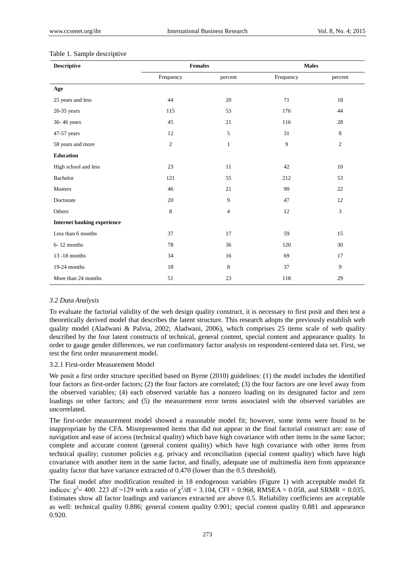#### Table 1. Sample descriptive

| <b>Descriptive</b>                 | <b>Females</b> |                | <b>Males</b> |                |  |
|------------------------------------|----------------|----------------|--------------|----------------|--|
|                                    | Frequency      | percent        | Frequency    | percent        |  |
| Age                                |                |                |              |                |  |
| 25 years and less                  | 44             | 20             | 71           | 18             |  |
| 26-35 years                        | 115            | 53             | 176          | 44             |  |
| 36-46 years                        | 45             | 21             | 116          | 28             |  |
| 47-57 years                        | 12             | 5              | 31           | 8              |  |
| 58 years and more                  | $\mathfrak{2}$ | $\mathbf{1}$   | 9            | $\mathfrak{2}$ |  |
| <b>Education</b>                   |                |                |              |                |  |
| High school and less               | 23             | 11             | 42           | 10             |  |
| Bachelor                           | 121            | 55             | 212          | 53             |  |
| Masters                            | 46             | 21             | 90           | 22             |  |
| Doctorate                          | 20             | 9              | 47           | 12             |  |
| Others                             | 8              | $\overline{4}$ | 12           | 3              |  |
| <b>Internet banking experience</b> |                |                |              |                |  |
| Less than 6 months                 | 37             | 17             | 59           | 15             |  |
| $6 - 12$ months                    | 78             | 36             | 120          | 30             |  |
| 13-18 months                       | 34             | 16             | 69           | 17             |  |
| 19-24 months                       | 18             | 8              | 37           | 9              |  |
| More than 24 months                | 51             | 23             | 118          | 29             |  |

## *3.2 Data Analysis*

To evaluate the factorial validity of the web design quality construct, it is necessary to first posit and then test a theoretically derived model that describes the latent structure. This research adopts the previously establish web quality model (Aladwani & Palvia, 2002; Aladwani, 2006), which comprises 25 items scale of web quality described by the four latent constructs of technical, general content, special content and appearance quality. In order to gauge gender differences, we run confirmatory factor analysis on respondent-centered data set. First, we test the first order measurement model.

## 3.2.1 First-order Measurement Model

We posit a first order structure specified based on Byrne (2010) guidelines: (1) the model includes the identified four factors as first-order factors; (2) the four factors are correlated; (3) the four factors are one level away from the observed variables; (4) each observed variable has a nonzero loading on its designated factor and zero loadings on other factors; and (5) the measurement error terms associated with the observed variables are uncorrelated.

The first-order measurement model showed a reasonable model fit; however, some items were found to be inappropriate by the CFA. Misrepresented items that did not appear in the final factorial construct are: ease of navigation and ease of access (technical quality) which have high covariance with other items in the same factor; complete and accurate content (general content quality) which have high covariance with other items from technical quality; customer policies e.g. privacy and reconciliation (special content quality) which have high covariance with another item in the same factor, and finally, adequate use of multimedia item from appearance quality factor that have variance extracted of 0.470 (lower than the 0.5 threshold).

The final model after modification resulted in 18 endogenous variables (Figure 1) with acceptable model fit indices:  $\chi^2$  = 400. 223 df =129 with a ratio of  $\chi^2$ /df = 3.104, CFI = 0.968, RMSEA = 0.058, and SRMR = 0.035. Estimates show all factor loadings and variances extracted are above 0.5. Reliability coefficients are acceptable as well: technical quality 0.886; general content quality 0.901; special content quality 0.881 and appearance 0.920.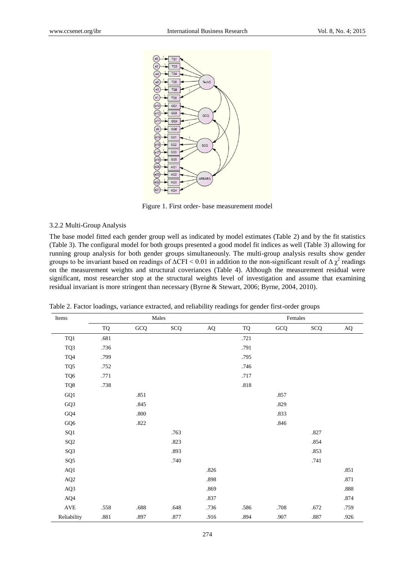

Figure 1. First order- base measurement model

# 3.2.2 Multi-Group Analysis

The base model fitted each gender group well as indicated by model estimates (Table 2) and by the fit statistics (Table 3). The configural model for both groups presented a good model fit indices as well (Table 3) allowing for running group analysis for both gender groups simultaneously. The multi-group analysis results show gender groups to be invariant based on readings of  $\Delta$ CFI < 0.01 in addition to the non-significant result of  $\Delta \chi^2$  readings on the measurement weights and structural coveriances (Table 4). Although the measurement residual were significant, most researcher stop at the structural weights level of investigation and assume that examining residual invariant is more stringent than necessary (Byrne & Stewart, 2006; Byrne, 2004, 2010).

| Items                |      |          | Males      |           | Females   |        |            |           |  |
|----------------------|------|----------|------------|-----------|-----------|--------|------------|-----------|--|
|                      | TQ   | GCQ      | <b>SCQ</b> | $\rm{AQ}$ | <b>TQ</b> | GCQ    | <b>SCQ</b> | $\rm{AQ}$ |  |
| TQ1                  | .681 |          |            |           | .721      |        |            |           |  |
| TQ3                  | .736 |          |            |           | .791      |        |            |           |  |
| TQ4                  | .799 |          |            |           | .795      |        |            |           |  |
| TQ5                  | .752 |          |            |           | .746      |        |            |           |  |
| TQ6                  | .771 |          |            |           | .717      |        |            |           |  |
| TQ8                  | .738 |          |            |           | $.818\,$  |        |            |           |  |
| GQ1                  |      | .851     |            |           |           | .857   |            |           |  |
| GQ3                  |      | .845     |            |           |           | .829   |            |           |  |
| GQ4                  |      | $.800\,$ |            |           |           | .833   |            |           |  |
| GQ6                  |      | .822     |            |           |           | $.846$ |            |           |  |
| ${\bf S} {\bf Q} 1$  |      |          | .763       |           |           |        | .827       |           |  |
| $\rm SQ2$            |      |          | .823       |           |           |        | .854       |           |  |
| SQ3                  |      |          | .893       |           |           |        | .853       |           |  |
| SQ <sub>5</sub>      |      |          | .740       |           |           |        | .741       |           |  |
| AQ1                  |      |          |            | .826      |           |        |            | .851      |  |
| $\rm AQ2$            |      |          |            | .898      |           |        |            | .871      |  |
| AQ3                  |      |          |            | .869      |           |        |            | $.888\,$  |  |
| AQ4                  |      |          |            | .837      |           |        |            | .874      |  |
| $\operatorname{AVE}$ | .558 | .688     | .648       | .736      | .586      | .708   | .672       | .759      |  |
| Reliability          | .881 | .897     | $.877\,$   | .916      | .894      | .907   | .887       | .926      |  |

Table 2. Factor loadings, variance extracted, and reliability readings for gender first-order groups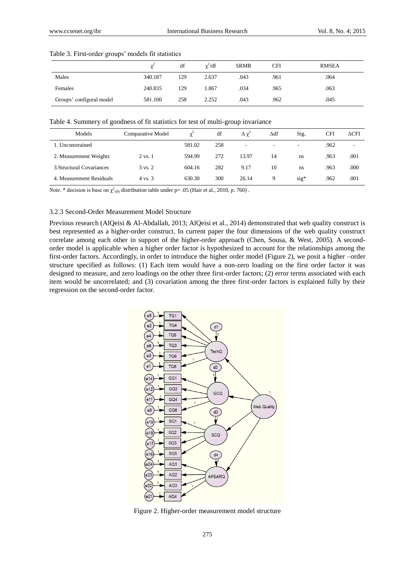|                          | ∼       | df  | $\gamma^2/df$ | <b>SRMR</b> | CFI  | <b>RMSEA</b> |
|--------------------------|---------|-----|---------------|-------------|------|--------------|
| Males                    | 340.187 | 129 | 2.637         | .043        | .961 | .064         |
| Females                  | 240.835 | 129 | 1.867         | .034        | .965 | .063         |
| Groups' configural model | 581.100 | 258 | 2.252         | .043        | .962 | .045         |

#### Table 3. First-order groups' models fit statistics

Table 4. Summery of goodness of fit statistics for test of multi-group invariance

| Models                    | <b>Comparative Model</b> | $\gamma^2$ | df  | $\Delta \gamma^2$ | ∆df                      | Sig.   | CFI  | $\Delta$ CFI |
|---------------------------|--------------------------|------------|-----|-------------------|--------------------------|--------|------|--------------|
| 1. Unconstrained          |                          | 581.02     | 258 | ٠                 | $\overline{\phantom{a}}$ | -      | .962 |              |
| 2. Measurement Weights    | 2 vs. 1                  | 594.99     | 272 | 13.97             | 14                       | ns     | .963 | .001         |
| 3. Structural Covariances | $3 \text{ vs. } 2$       | 604.16     | 282 | 9.17              | 10                       | ns     | .963 | .000         |
| 4. Measurement Residuals  | 4 vs. 3                  | 630.30     | 300 | 26.14             | 9                        | $sig*$ | .962 | .001         |

*Note.* \* decision is base on  $\chi^2$ <sub>(df)</sub> distribution table under p= .05 (Hair et al., 2010, p. 760).

#### 3.2.3 Second-Order Measurement Model Structure

Previous research (AlQeisi & Al-Abdallah, 2013; AlQeisi et al., 2014) demonstrated that web quality construct is best represented as a higher-order construct. In current paper the four dimensions of the web quality construct correlate among each other in support of the higher-order approach (Chen, Sousa, & West, 2005). A secondorder model is applicable when a higher order factor is hypothesized to account for the relationships among the first-order factors. Accordingly, in order to introduce the higher order model (Figure 2), we posit a higher –order structure specified as follows: (1) Each item would have a non-zero loading on the first order factor it was designed to measure, and zero loadings on the other three first-order factors; (2) error terms associated with each item would be uncorrelated; and (3) covariation among the three first-order factors is explained fully by their regression on the second-order factor.



Figure 2. Higher-order measurement model structure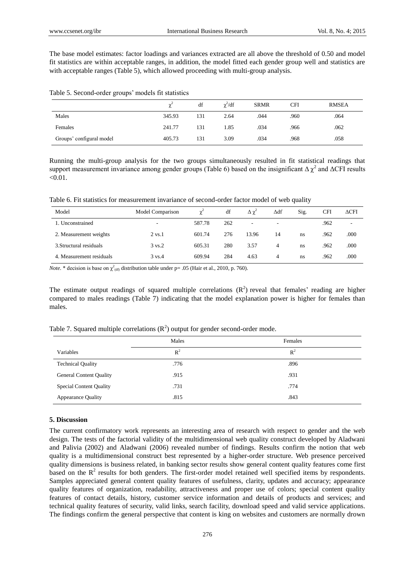The base model estimates: factor loadings and variances extracted are all above the threshold of 0.50 and model fit statistics are within acceptable ranges, in addition, the model fitted each gender group well and statistics are with acceptable ranges (Table 5), which allowed proceeding with multi-group analysis.

Table 5. Second-order groups' models fit statistics

|                          |        | df  | $\chi^2/df$ | <b>SRMR</b> | CFI  | <b>RMSEA</b> |
|--------------------------|--------|-----|-------------|-------------|------|--------------|
| Males                    | 345.93 | 131 | 2.64        | .044        | .960 | .064         |
| Females                  | 241.77 | 131 | 1.85        | .034        | .966 | .062         |
| Groups' configural model | 405.73 | 131 | 3.09        | .034        | .968 | .058         |

Running the multi-group analysis for the two groups simultaneously resulted in fit statistical readings that support measurement invariance among gender groups (Table 6) based on the insignificant  $\Delta \chi^2$  and  $\Delta$ CFI results  $< 0.01$ .

Table 6. Fit statistics for measurement invariance of second-order factor model of web quality

| Model                    | Model Comparison   | $\chi^2$ | df  | $\Delta \chi^2$ | Δdf                      | Sig. | CFI  | $\Delta$ CFI |
|--------------------------|--------------------|----------|-----|-----------------|--------------------------|------|------|--------------|
| 1. Unconstrained         |                    | 587.78   | 262 |                 | $\overline{\phantom{a}}$ |      | .962 | -            |
| 2. Measurement weights   | $2 \text{ vs. } 1$ | 601.74   | 276 | 13.96           | 14                       | ns   | .962 | .000         |
| 3. Structural residuals  | $3 \text{ vs. } 2$ | 605.31   | 280 | 3.57            | 4                        | ns   | .962 | .000         |
| 4. Measurement residuals | $3 \text{ vs. } 4$ | 609.94   | 284 | 4.63            | 4                        | ns   | .962 | .000         |

*Note.* \* decision is base on  $\chi^2$ <sub>(df)</sub> distribution table under p= .05 (Hair et al., 2010, p. 760).

The estimate output readings of squared multiple correlations  $(R^2)$  reveal that females' reading are higher compared to males readings (Table 7) indicating that the model explanation power is higher for females than males.

|  | Table 7. Squared multiple correlations $(R^2)$ output for gender second-order mode. |  |  |  |
|--|-------------------------------------------------------------------------------------|--|--|--|
|  |                                                                                     |  |  |  |

|                                | Males | Females |
|--------------------------------|-------|---------|
| Variables                      | $R^2$ | $R^2$   |
| <b>Technical Quality</b>       | .776  | .896    |
| <b>General Content Quality</b> | .915  | .931    |
| <b>Special Content Quality</b> | .731  | .774    |
| <b>Appearance Quality</b>      | .815  | .843    |

#### **5. Discussion**

The current confirmatory work represents an interesting area of research with respect to gender and the web design. The tests of the factorial validity of the multidimensional web quality construct developed by Aladwani and Palivia (2002) and Aladwani (2006) revealed number of findings. Results confirm the notion that web quality is a multidimensional construct best represented by a higher-order structure. Web presence perceived quality dimensions is business related, in banking sector results show general content quality features come first based on the  $R<sup>2</sup>$  results for both genders. The first-order model retained well specified items by respondents. Samples appreciated general content quality features of usefulness, clarity, updates and accuracy; appearance quality features of organization, readability, attractiveness and proper use of colors; special content quality features of contact details, history, customer service information and details of products and services; and technical quality features of security, valid links, search facility, download speed and valid service applications. The findings confirm the general perspective that content is king on websites and customers are normally drown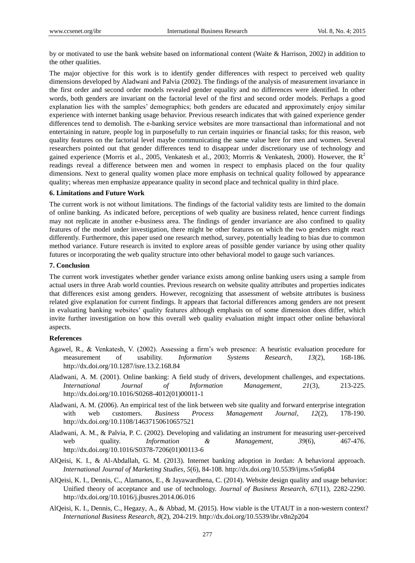by or motivated to use the bank website based on informational content (Waite & Harrison, 2002) in addition to the other qualities.

The major objective for this work is to identify gender differences with respect to perceived web quality dimensions developed by Aladwani and Palvia (2002). The findings of the analysis of measurement invariance in the first order and second order models revealed gender equality and no differences were identified. In other words, both genders are invariant on the factorial level of the first and second order models. Perhaps a good explanation lies with the samples' demographics; both genders are educated and approximately enjoy similar experience with internet banking usage behavior. Previous research indicates that with gained experience gender differences tend to demolish. The e-banking service websites are more transactional than informational and not entertaining in nature, people log in purposefully to run certain inquiries or financial tasks; for this reason, web quality features on the factorial level maybe communicating the same value here for men and women. Several researchers pointed out that gender differences tend to disappear under discretionary use of technology and gained experience (Morris et al., 2005, Venkatesh et al., 2003; Morrris & Venkatesh, 2000). However, the  $R^2$ readings reveal a difference between men and women in respect to emphasis placed on the four quality dimensions. Next to general quality women place more emphasis on technical quality followed by appearance quality; whereas men emphasize appearance quality in second place and technical quality in third place.

#### **6. Limitations and Future Work**

The current work is not without limitations. The findings of the factorial validity tests are limited to the domain of online banking. As indicated before, perceptions of web quality are business related, hence current findings may not replicate in another e-business area. The findings of gender invariance are also confined to quality features of the model under investigation, there might be other features on which the two genders might react differently. Furthermore, this paper used one research method, survey, potentially leading to bias due to common method variance. Future research is invited to explore areas of possible gender variance by using other quality futures or incorporating the web quality structure into other behavioral model to gauge such variances.

#### **7. Conclusion**

The current work investigates whether gender variance exists among online banking users using a sample from actual users in three Arab world counties. Previous research on website quality attributes and properties indicates that differences exist among genders. However, recognizing that assessment of website attributes is business related give explanation for current findings. It appears that factorial differences among genders are not present in evaluating banking websites' quality features although emphasis on of some dimension does differ, which invite further investigation on how this overall web quality evaluation might impact other online behavioral aspects.

#### **References**

- Agawel, R., & Venkatesh, V. (2002). Assessing a firm's web presence: A heuristic evaluation procedure for measurement of usability. *Information Systems Research, 13*(2), 168-186. http://dx.doi.org/10.1287/isre.13.2.168.84
- Aladwani, A. M. (2001). Online banking: A field study of drivers, development challenges, and expectations. *International Journal of Information Management, 21*(3), 213-225. http://dx.doi.org/10.1016/S0268-4012(01)00011-1
- Aladwani, A. M. (2006). An empirical test of the link between web site quality and forward enterprise integration with web customers. *Business Process Management Journal, 12*(2), 178-190. http://dx.doi.org/10.1108/14637150610657521
- Aladwani, A. M., & Palvia, P. C. (2002). Developing and validating an instrument for measuring user-perceived web quality. *Information & Management*, 39(6), 467-476. http://dx.doi.org/10.1016/S0378-7206(01)00113-6
- AlQeisi, K. I., & Al-Abdallah, G. M. (2013). Internet banking adoption in Jordan: A behavioral approach. *International Journal of Marketing Studies, 5*(6), 84-108. http://dx.doi.org/10.5539/ijms.v5n6p84
- AlQeisi, K. I., Dennis, C., Alamanos, E., & Jayawardhena, C. (2014). Website design quality and usage behavior: Unified theory of acceptance and use of technology. *Journal of Business Research, 67*(11), 2282-2290. http://dx.doi.org/10.1016/j.jbusres.2014.06.016
- AlQeisi, K. I., Dennis, C., Hegazy, A., & Abbad, M. (2015). How viable is the UTAUT in a non-western context? *International Business Research, 8*(2), 204-219. http://dx.doi.org/10.5539/ibr.v8n2p204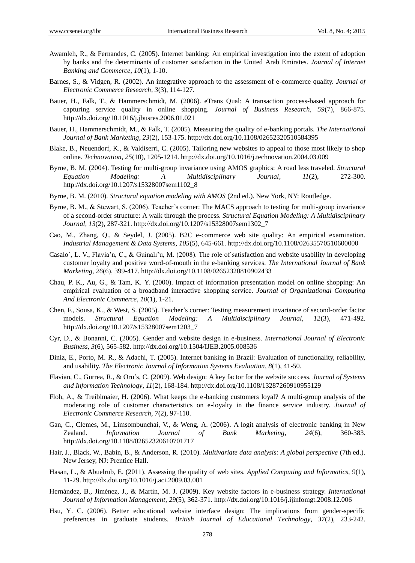- Awamleh, R., & Fernandes, C. (2005). Internet banking: An empirical investigation into the extent of adoption by banks and the determinants of customer satisfaction in the United Arab Emirates. *Journal of Internet Banking and Commerce, 10*(1), 1-10.
- Barnes, S., & Vidgen, R. (2002). An integrative approach to the assessment of e-commerce quality. *Journal of Electronic Commerce Research, 3*(3), 114-127.
- Bauer, H., Falk, T., & Hammerschmidt, M. (2006). eTrans Qual: A transaction process-based approach for capturing service quality in online shopping. *Journal of Business Research, 59*(7), 866-875. http://dx.doi.org/10.1016/j.jbusres.2006.01.021
- Bauer, H., Hammerschmidt, M., & Falk, T. (2005). Measuring the quality of e-banking portals. *The International Journal of Bank Marketing, 23*(2), 153-175. http://dx.doi.org/10.1108/02652320510584395
- Blake, B., Neuendorf, K., & Valdiserri, C. (2005). Tailoring new websites to appeal to those most likely to shop online. *Technovation, 25*(10), 1205-1214. http://dx.doi.org/10.1016/j.technovation.2004.03.009
- Byrne, B. M. (2004). Testing for multi-group invariance using AMOS graphics: A road less traveled. *Structural Equation Modeling: A Multidisciplinary Journal, 11*(2), 272-300. http://dx.doi.org/10.1207/s15328007sem1102\_8
- Byrne, B. M. (2010). *Structural equation modeling with AMOS* (2nd ed.). New York, NY: Routledge.
- Byrne, B. M., & Stewart, S. (2006). Teacher's corner: The MACS approach to testing for multi-group invariance of a second-order structure: A walk through the process. *Structural Equation Modeling: A Multidisciplinary Journal, 13*(2), 287-321. http://dx.doi.org/10.1207/s15328007sem1302\_7
- Cao, M., Zhang, Q., & Seydel, J. (2005). B2C e-commerce web site quality: An empirical examination. *Industrial Management & Data Systems, 105*(5), 645-661. http://dx.doi.org/10.1108/02635570510600000
- Casalo´, L. V., Flavia'n, C., & Guinalı'u, M. (2008). The role of satisfaction and website usability in developing customer loyalty and positive word-of-mouth in the e-banking services. *The International Journal of Bank Marketing, 26*(6), 399-417. http://dx.doi.org/10.1108/02652320810902433
- Chau, P. K., Au, G., & Tam, K. Y. (2000). Impact of information presentation model on online shopping: An empirical evaluation of a broadband interactive shopping service. *Journal of Organizational Computing And Electronic Commerce, 10*(1), 1-21.
- Chen, F., Sousa, K., & West, S. (2005). Teacher's corner: Testing measurement invariance of second-order factor models. *Structural Equation Modeling: A Multidisciplinary Journal, 12*(3), 471-492. http://dx.doi.org/10.1207/s15328007sem1203\_7
- Cyr, D., & Bonanni, C. (2005). Gender and website design in e-business. *International Journal of Electronic Business, 3*(6), 565-582. http://dx.doi.org/10.1504/IJEB.2005.008536
- Diniz, E., Porto, M. R., & Adachi, T. (2005). Internet banking in Brazil: Evaluation of functionality, reliability, and usability. *The Electronic Journal of Information Systems Evaluation, 8*(1), 41-50.
- Flavian, C., Gurrea, R., & Oru's, C. (2009). Web design: A key factor for the website success. *Journal of Systems and Information Technology, 11*(2), 168-184. http://dx.doi.org/10.1108/13287260910955129
- Floh, A., & Treiblmaier, H. (2006). What keeps the e-banking customers loyal? A multi-group analysis of the moderating role of customer characteristics on e-loyalty in the finance service industry. *Journal of Electronic Commerce Research, 7*(2), 97-110.
- Gan, C., Clemes, M., Limsombunchai, V., & Weng, A. (2006). A logit analysis of electronic banking in New Zealand. *Information Journal of Bank Marketing, 24*(6), 360-383. http://dx.doi.org/10.1108/02652320610701717
- Hair, J., Black, W., Babin, B., & Anderson, R. (2010). *Multivariate data analysis: A global perspective* (7th ed.). New Jersey, NJ: Prentice Hall.
- Hasan, L., & Abuelrub, E. (2011). Assessing the quality of web sites. *Applied Computing and Informatics, 9*(1), 11-29. http://dx.doi.org/10.1016/j.aci.2009.03.001
- Hern ández, B., Jiménez, J., & Mart n, M. J. (2009). Key website factors in e-business strategy. *International Journal of Information Management, 29*(5), 362-371. http://dx.doi.org/10.1016/j.ijinfomgt.2008.12.006
- Hsu, Y. C. (2006). Better educational website interface design: The implications from gender-specific preferences in graduate students. *British Journal of Educational Technology, 37*(2), 233-242.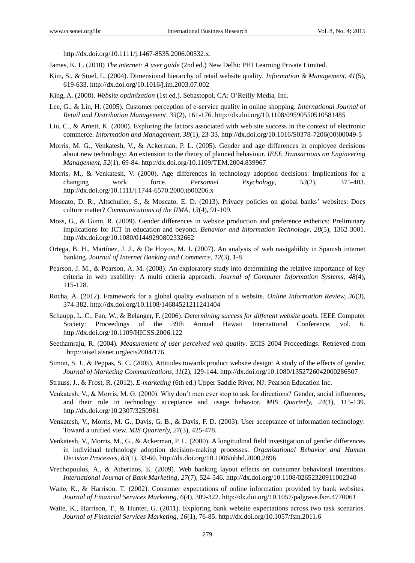http://dx.doi.org/10.1111/j.1467-8535.2006.00532.x.

- James, K. L. (2010) *The internet: A user guide* (2nd ed.) New Delhi: PHI Learning Private Limited.
- Kim, S., & Stoel, L. (2004). Dimensional hierarchy of retail website quality. *Information & Management, 41*(5), 619-633. http://dx.doi.org/10.1016/j.im.2003.07.002
- King, A. (2008). *Website optimization* (1st ed.). Sebastopol, CA: O'Reilly Media, Inc.
- Lee, G., & Lin, H. (2005). Customer perception of e-service quality in online shopping. *International Journal of Retail and Distribution Management, 33*(2), 161-176. http://dx.doi.org/10.1108/09590550510581485
- Liu, C., & Arnett, K. (2000). Exploring the factors associated with web site success in the context of electronic commerce. *Information and Management, 38*(1), 23-33. http://dx.doi.org/10.1016/S0378-7206(00)00049-5
- Morris, M. G., Venkatesh, V., & Ackerman, P. L. (2005). Gender and age differences in employee decisions about new technology: An extension to the theory of planned behaviour. *IEEE Transactions on Engineering Management, 52*(1), 69-84. http://dx.doi.org/10.1109/TEM.2004.839967
- Morris, M., & Venkatesh, V. (2000). Age differences in technology adoption decisions: Implications for a changing work force. *Personnel Psychology, 53*(2), 375-403. http://dx.doi.org/10.1111/j.1744-6570.2000.tb00206.x
- Moscato, D. R., Altschuller, S., & Moscato, E. D. (2013). Privacy policies on global banks' websites: Does culture matter? *Communications of the IIMA, 13*(4), 91-109.
- Moss, G., & Gunn, R. (2009). Gender differences in website production and preference esthetics: Preliminary implications for ICT in education and beyond. *Behavior and Information Technology, 28*(5), 1362-3001. http://dx.doi.org/10.1080/01449290802332662
- Ortega, B. H., Martínez, J. J., & De Hoyos, M. J. (2007). An analysis of web navigability in Spanish internet banking. *Journal of Internet Banking and Commerce, 12*(3), 1-8.
- Pearson, J. M., & Pearson, A. M. (2008). An exploratory study into determining the relative importance of key criteria in web usability: A multi criteria approach. *Journal of Computer Information Systems, 48*(4), 115-128.
- Rocha, A. (2012). Framework for a global quality evaluation of a website. *Online Information Review, 36*(3), 374-382. http://dx.doi.org/10.1108/14684521211241404
- Schaupp, L. C., Fan, W., & Belanger, F. (2006). *Determining success for different website goals.* IEEE Computer Society: Proceedings of the 39th Annual Hawaii International Conference, vol. http://dx.doi.org/10.1109/HICSS.2006.122
- Seethamraju, R. (2004). *Measurement of user perceived web quality*. ECIS 2004 Proceedings. Retrieved from http://aisel.aisnet.org/ecis2004/176
- Simon, S. J., & Peppas, S. C. (2005). Attitudes towards product website design: A study of the effects of gender. *Journal of Marketing Communications, 11*(2), 129-144. http://dx.doi.org/10.1080/1352726042000286507
- Strauss, J., & Frost, R. (2012). *E-marketing* (6th ed.) Upper Saddle River, NJ: Pearson Education Inc.
- Venkatesh, V., & Morris, M. G. (2000). Why don't men ever stop to ask for directions? Gender, social influences, and their role in technology acceptance and usage behavior. *MIS Quarterly, 24*(1), 115-139. http://dx.doi.org/10.2307/3250981
- Venkatesh, V., Morris, M. G., Davis, G. B., & Davis, F. D. (2003). User acceptance of information technology: Toward a unified view. *MIS Quarterly, 27*(3), 425-478.
- Venkatesh, V., Morris, M., G., & Ackerman, P. L. (2000). A longitudinal field investigation of gender differences in individual technology adoption decision-making processes. *Organizational Behavior and Human Decision Processes, 83*(1), 33-60. http://dx.doi.org/10.1006/obhd.2000.2896
- Vrechopoulos, A., & Atherinos, E. (2009). Web banking layout effects on consumer behavioral intentions. *International Journal of Bank Marketing, 27*(7), 524-546. http://dx.doi.org/10.1108/02652320911002340
- Waite, K., & Harrison, T. (2002). Consumer expectations of online information provided by bank websites. *Journal of Financial Services Marketing, 6*(4), 309-322. http://dx.doi.org/10.1057/palgrave.fsm.4770061
- Waite, K., Harrison, T., & Hunter, G. (2011). Exploring bank website expectations across two task scenarios. *Journal of Financial Services Marketing, 16*(1), 76-85. http://dx.doi.org/10.1057/fsm.2011.6